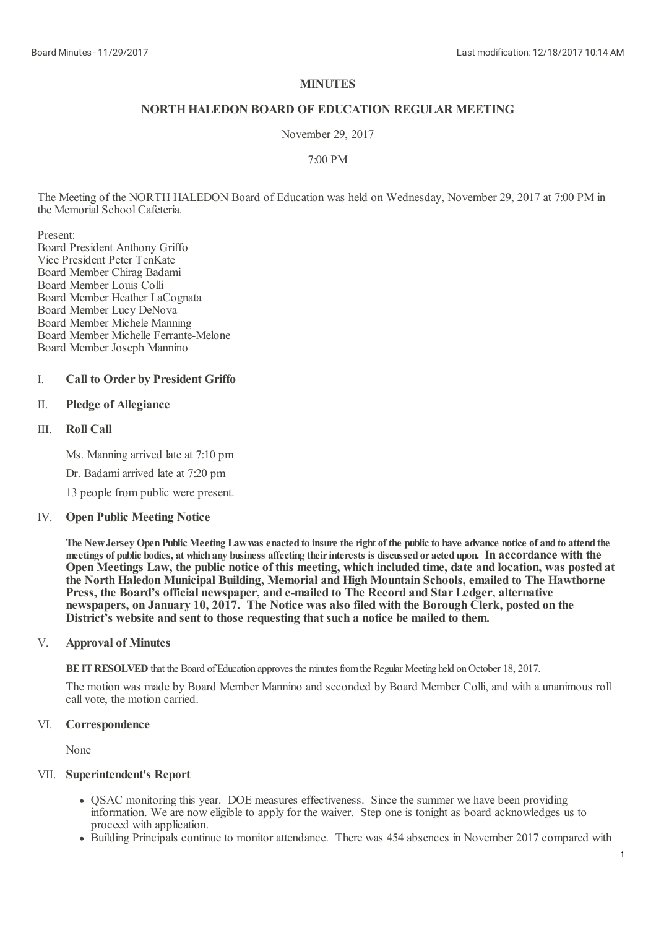# **MINUTES**

# **NORTHHALEDON BOARD OF EDUCATION REGULAR MEETING**

November 29, 2017

7:00 PM

The Meeting of the NORTH HALEDON Board of Education was held on Wednesday, November 29, 2017 at 7:00 PM in the Memorial School Cafeteria.

Present:

Board President Anthony Griffo Vice President Peter TenKate Board Member Chirag Badami Board Member Louis Colli Board Member Heather LaCognata Board Member Lucy DeNova Board Member Michele Manning Board Member Michelle Ferrante-Melone Board Member Joseph Mannino

# I. **Call to Order by President Griffo**

## II. **Pledge of Allegiance**

### III. **Roll Call**

Ms. Manning arrived late at 7:10 pm

Dr. Badamiarrived late at 7:20 pm

13 people from public were present.

# IV. **Open Public Meeting Notice**

The New Jersey Open Public Meeting Law was enacted to insure the right of the public to have advance notice of and to attend the meetings of public bodies, at which any business affecting their interests is discussed or acted upon. In accordance with the Open Meetings Law, the public notice of this meeting, which included time, date and location, was posted at **the North Haledon Municipal Building, Memorial and High Mountain Schools, emailed to The Hawthorne Press, the Board's official newspaper, and e-mailed to The Record and Star Ledger, alternative newspapers, on January 10, 2017. The Notice was also filed with the Borough Clerk, posted on the District's website and sent to those requesting that such a notice be mailed to them.**

### V. **Approval of Minutes**

**BEIT RESOLVED** that the Board of Education approves the minutes from the Regular Meeting held on October 18, 2017.

The motion was made by Board Member Mannino and seconded by Board Member Colli, and with a unanimous roll call vote, the motion carried.

# VI. **Correspondence**

None

# VII. **Superintendent's Report**

- QSAC monitoring this year. DOE measures effectiveness. Since the summer we have been providing information. We are now eligible to apply for the waiver. Step one is tonight as board acknowledges us to proceed with application.
- Building Principals continue to monitor attendance. There was 454 absences in November 2017 compared with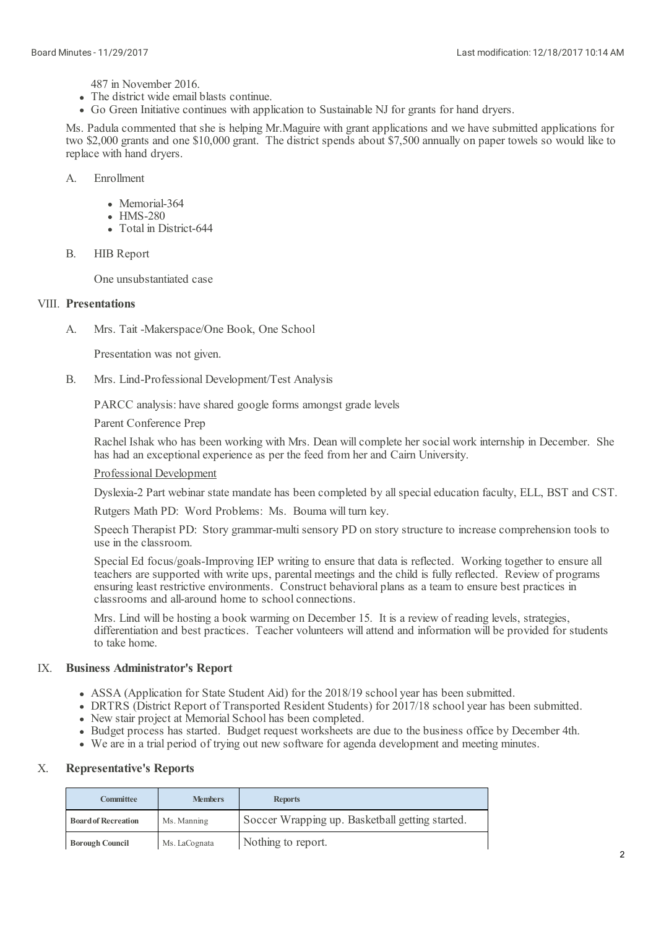487 in November 2016.

- The district wide email blasts continue.
- Go Green Initiative continues with application to Sustainable NJ for grants for hand dryers.

Ms. Padula commented that she is helping Mr.Maguire with grant applications and we have submitted applications for two \$2,000 grants and one \$10,000 grant. The district spends about \$7,500 annually on paper towels so would like to replace with hand dryers.

- A. Enrollment
	- Memorial-364
	- HMS-280
	- Total in District-644
- B. HIB Report

One unsubstantiated case

## VIII. **Presentations**

A. Mrs. Tait -Makerspace/One Book, One School

Presentation was not given.

B. Mrs. Lind-Professional Development/Test Analysis

PARCC analysis: have shared google forms amongst grade levels

Parent Conference Prep

Rachel Ishak who has been working with Mrs. Dean willcomplete her social work internship in December. She has had an exceptional experience as per the feed from her and Cairn University.

### Professional Development

Dyslexia-2 Part webinar state mandate has been completed by all special education faculty, ELL, BST and CST.

Rutgers Math PD: Word Problems: Ms. Bouma will turn key.

Speech Therapist PD: Story grammar-multi sensory PD on story structure to increase comprehension tools to use in the classroom.

Special Ed focus/goals-Improving IEP writing to ensure that data is reflected. Working together to ensure all teachers are supported with write ups, parental meetings and the child is fully reflected. Review of programs ensuring least restrictive environments. Construct behavioral plans as a team to ensure best practices in classrooms and all-around home to schoolconnections.

Mrs. Lind will be hosting a book warming on December 15. It is a review of reading levels, strategies, differentiation and best practices. Teacher volunteers willattend and information will be provided for students to take home.

### IX. **Business Administrator's Report**

- ASSA (Application for State Student Aid) for the 2018/19 school year has been submitted.
- DRTRS (District Report of Transported Resident Students) for 2017/18 school year has been submitted.
- New stair project at Memorial School has been completed.
- Budget process has started. Budget request worksheets are due to the business office by December 4th. We are in <sup>a</sup> trial period of trying out new software for agenda development and meeting minutes.
- 

### X. **Representative's Reports**

| <b>Committee</b>                          | <b>Members</b> | <b>Reports</b>                                  |
|-------------------------------------------|----------------|-------------------------------------------------|
| <b>Board of Recreation</b><br>Ms. Manning |                | Soccer Wrapping up. Basketball getting started. |
| <b>Borough Council</b>                    | Ms. LaCognata  | Nothing to report.                              |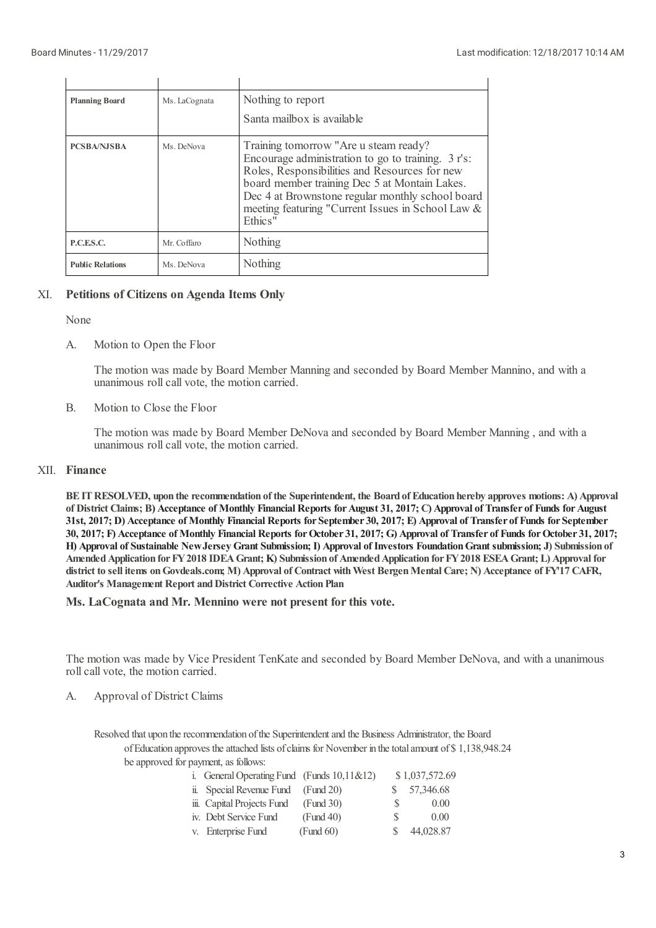| <b>Planning Board</b>   | Ms. LaCognata | Nothing to report<br>Santa mailbox is available                                                                                                                                                                                                                                                                   |
|-------------------------|---------------|-------------------------------------------------------------------------------------------------------------------------------------------------------------------------------------------------------------------------------------------------------------------------------------------------------------------|
| <b>PCSBA/NJSBA</b>      | Ms. DeNova    | Training tomorrow "Are u steam ready?<br>Encourage administration to go to training. 3 r's:<br>Roles, Responsibilities and Resources for new<br>board member training Dec 5 at Montain Lakes.<br>Dec 4 at Brownstone regular monthly school board<br>meeting featuring "Current Issues in School Law &<br>Ethics" |
| P.C.E.S.C.              | Mr. Coffaro   | Nothing                                                                                                                                                                                                                                                                                                           |
| <b>Public Relations</b> | Ms. DeNova    | Nothing                                                                                                                                                                                                                                                                                                           |

### XI. **Petitions of Citizens on Agenda Items Only**

None

### A. Motion to Open the Floor

The motion was made by Board Member Manning and seconded by Board Member Mannino, and with a unanimous roll call vote, the motion carried.

B. Motion to Close the Floor

> The motion was made by Board Member DeNova and seconded by Board Member Manning , and with a unanimous roll call vote, the motion carried.

# XII. **Finance**

BE IT RESOLVED, upon the recommendation of the Superintendent, the Board of Education hereby approves motions: A) Approval of District Claims; B) Acceptance of Monthly Financial Reports for August 31, 2017; C) Approval of Transfer of Funds for August 31st, 2017; D) Acceptance of Monthly Financial Reports for September 30, 2017; E) Approval of Transfer of Funds for September 30, 2017; F) Acceptance of Monthly Financial Reports for October 31, 2017; G) Approval of Transfer of Funds for October 31, 2017; H) Approval of Sustainable New Jersey Grant Submission; I) Approval of Investors Foundation Grant submission; J) Submission of **AmendedApplication forFY2018 IDEAGrant; K) Submission of AmendedApplication forFY2018 ESEAGrant; L) Approval for** district to sell items on Govdeals.com; M) Approval of Contract with West Bergen Mental Care; N) Acceptance of FY17 CAFR, **Auditor's Management Report andDistrict Corrective ActionPlan**

**Ms. LaCognata and Mr. Mennino were not present forthis vote.**

The motion was made by Vice President TenKate and seconded by Board Member DeNova, and with a unanimous roll call vote, the motion carried.

### A. Approval of District Claims

Resolved that upon the recommendation of the Superintendent and the Business Administrator, the Board of Education approves the attached lists of claims for November in the total amount of \$1,138,948.24 be approved for payment, as follows:

| i. General Operating Fund (Funds $10,11 \& 12$ ) |           |    | \$1,037,572.69 |
|--------------------------------------------------|-----------|----|----------------|
| ii. Special Revenue Fund                         | (Fund 20) | S. | 57,346.68      |
| iii. Capital Projects Fund                       | (Fund 30) | S  | 0.00           |
| iv. Debt Service Fund                            | (Fund 40) | S. | 0.00           |
| v. Enterprise Fund                               | (Fund 60) |    | 44,028.87      |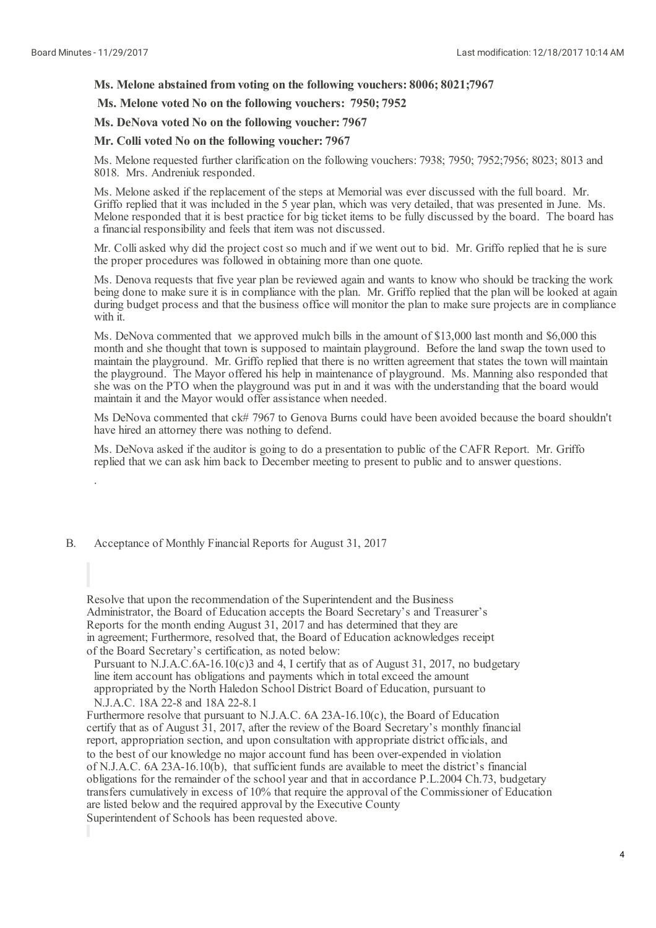.

## **Ms. Melone abstained from voting on the following vouchers: 8006; 8021;7967**

**Ms. Melone voted No on the following vouchers: 7950; 7952**

**Ms. DeNova voted No on the following voucher: 7967**

## **Mr. Colli voted No on the following voucher: 7967**

Ms. Melone requested further clarification on the following vouchers: 7938; 7950; 7952;7956; 8023; 8013 and 8018. Mrs. Andreniuk responded.

Ms. Melone asked if the replacement of the steps at Memorial was ever discussed with the full board. Mr.<br>Griffo replied that it was included in the 5 year plan, which was very detailed, that was presented in June. Ms. Melone responded that it is best practice for big ticket items to be fully discussed by the board. The board has a financial responsibility and feels that item was not discussed.

Mr. Colliasked why did the project cost so much and if we went out to bid. Mr. Griffo replied that he is sure the proper procedures was followed in obtaining more than one quote.

Ms. Denova requests that five year plan be reviewed again and wants to know who should be tracking the work being done to make sure it is in compliance with the plan. Mr. Griffo replied that the plan will be looked at again during budget process and that the business office will monitor the plan to make sure projects are in compliance with it.

Ms. DeNova commented that we approved mulch bills in the amount of \$13,000 last month and \$6,000 this month and she thought that town is supposed to maintain playground. Before the land swap the town used to maintain the playground. Mr. Griffo replied that there is no written agreement that states the town will maintain the playground. The Mayor offered his help in maintenance of playground. Ms. Manning also responded that she was on the PTO when the playground was put in and it was with the understanding that the board would maintain it and the Mayor would offer assistance when needed.

Ms DeNova commented that ck# 7967 to Genova Burns could have been avoided because the board shouldn't have hired an attorney there was nothing to defend.

Ms. DeNova asked if the auditor is going to do a presentation to public of the CAFR Report. Mr. Griffo replied that we can ask him back to December meeting to present to public and to answer questions.

### B. Acceptance of Monthly Financial Reports for August 31, 2017

Resolve that upon the recommendation of the Superintendent and the Business Administrator, the Board of Education accepts the Board Secretary's and Treasurer's Reports for the month ending August 31, 2017 and has determined that they are in agreement; Furthermore, resolved that, the Board of Education acknowledges receipt of the Board Secretary's certification, as noted below:

Pursuant to N.J.A.C.6A-16.10(c)3 and 4, I certify that as of August 31, 2017, no budgetary line item account has obligations and payments which in total exceed the amount appropriated by the North Haledon School District Board of Education, pursuant to N.J.A.C. 18A 22-8 and 18A 22-8.1

Furthermore resolve that pursuant to N.J.A.C. 6A 23A-16.10(c), the Board of Education certify that as of August 31, 2017, after the review of the Board Secretary's monthly financial report, appropriation section, and upon consultation with appropriate district officials, and to the best of our knowledge no major account fund has been over-expended in violation of N.J.A.C. 6A 23A-16.10(b), that sufficient funds are available to meet the district's financial obligations for the remainder of the school year and that in accordance P.L.2004 Ch.73, budgetary transfers cumulatively in excess of 10% that require the approval of the Commissioner of Education are listed below and the required approval by the Executive County

Superintendent of Schools has been requested above.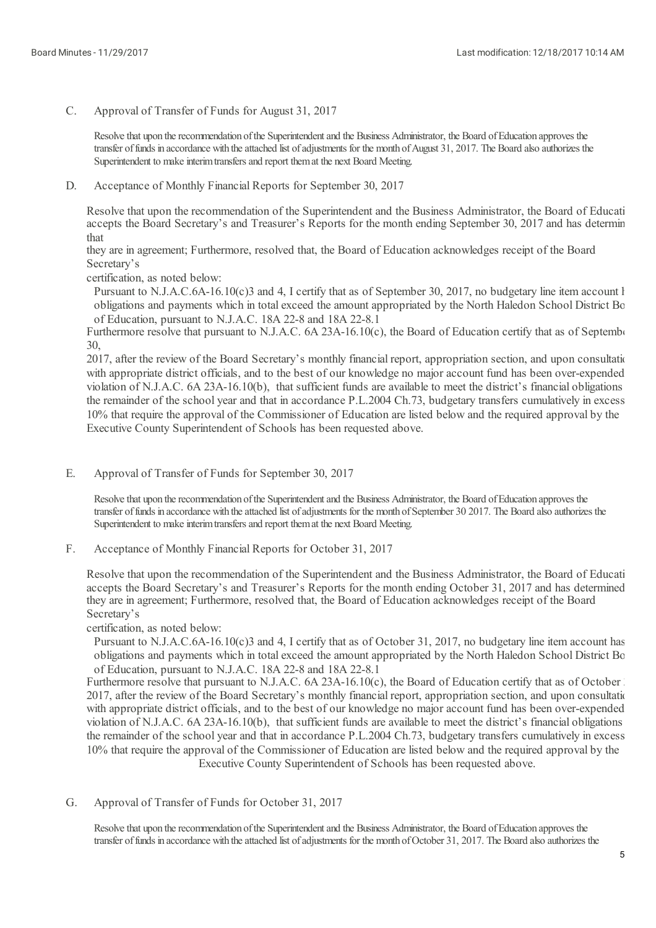C. Approval of Transfer of Funds for August 31, 2017

> Resolve that upon the recommendation of the Superintendent and the Business Administrator, the Board of Education approves the transfer of funds in accordance with the attached list of adjustments for the month of August 31, 2017. The Board also authorizes the Superintendent to make interim transfers and report them at the next Board Meeting.

D. Acceptance of Monthly Financial Reports for September 30, 2017

Resolve that upon the recommendation of the Superintendent and the Business Administrator, the Board of Educati accepts the Board Secretary's and Treasurer's Reports for the month ending September 30, 2017 and has determin that

they are in agreement; Furthermore, resolved that, the Board of Education acknowledges receipt of the Board Secretary's

certification, as noted below:

Pursuant to N.J.A.C.6A-16.10(c)3 and 4, I certify that as of September 30, 2017, no budgetary line item account l obligations and payments which in total exceed the amount appropriated by the North Haledon School District Bo of Education, pursuant to N.J.A.C. 18A 22-8 and 18A 22-8.1

Furthermore resolve that pursuant to N.J.A.C. 6A 23A-16.10(c), the Board of Education certify that as of September 30,

2017, after the review of the Board Secretary's monthly financial report, appropriation section, and upon consultation with appropriate district officials, and to the best of our knowledge no major account fund has been over-expended violation of N.J.A.C. 6A 23A-16.10(b), that sufficient funds are available to meet the district's financial obligations the remainder of the school year and that in accordance P.L.2004 Ch.73, budgetary transfers cumulatively in excess 10% that require the approval of the Commissioner of Education are listed below and the required approval by the Executive County Superintendent of Schools has been requested above.

E. Approval of Transfer of Funds for September 30, 2017

Resolve that upon the recommendation of the Superintendent and the Business Administrator, the Board of Education approves the transfer of funds in accordance with the attached list of adjustments for the month of September 30 2017. The Board also authorizes the Superintendent to make interim transfers and report them at the next Board Meeting.

F. Acceptance of Monthly Financial Reports for October 31, 2017

Resolve that upon the recommendation of the Superintendent and the Business Administrator, the Board of Educati accepts the Board Secretary's and Treasurer's Reports for the month ending October 31, 2017 and has determined they are in agreement; Furthermore, resolved that, the Board of Education acknowledges receipt of the Board Secretary's

certification, as noted below:

Pursuant to N.J.A.C.6A-16.10(c)3 and 4, I certify that as of October 31, 2017, no budgetary line item account has obligations and payments which in total exceed the amount appropriated by the North Haledon School District Bo of Education, pursuant to N.J.A.C. 18A 22-8 and 18A 22-8.1

Furthermore resolve that pursuant to N.J.A.C. 6A 23A-16.10(c), the Board of Education certify that as of October 31, 2017, after the review of the Board Secretary's monthly financial report, appropriation section, and upon consultation with appropriate district officials, and to the best of our knowledge no major account fund has been over-expended violation of N.J.A.C.  $6A 23A-16.10(b)$ , that sufficient funds are available to meet the district's financial obligations the remainder of the school year and that in accordance P.L.2004 Ch.73, budgetary transfers cumulatively in excess 10% that require the approval of the Commissioner of Education are listed below and the required approval by the Executive County Superintendent of Schools has been requested above.

G. Approval of Transfer of Funds for October 31, 2017

> Resolve that upon the recommendation of the Superintendent and the Business Administrator, the Board of Education approves the transfer of funds in accordance with the attached list of adjustments for the month of October 31, 2017. The Board also authorizes the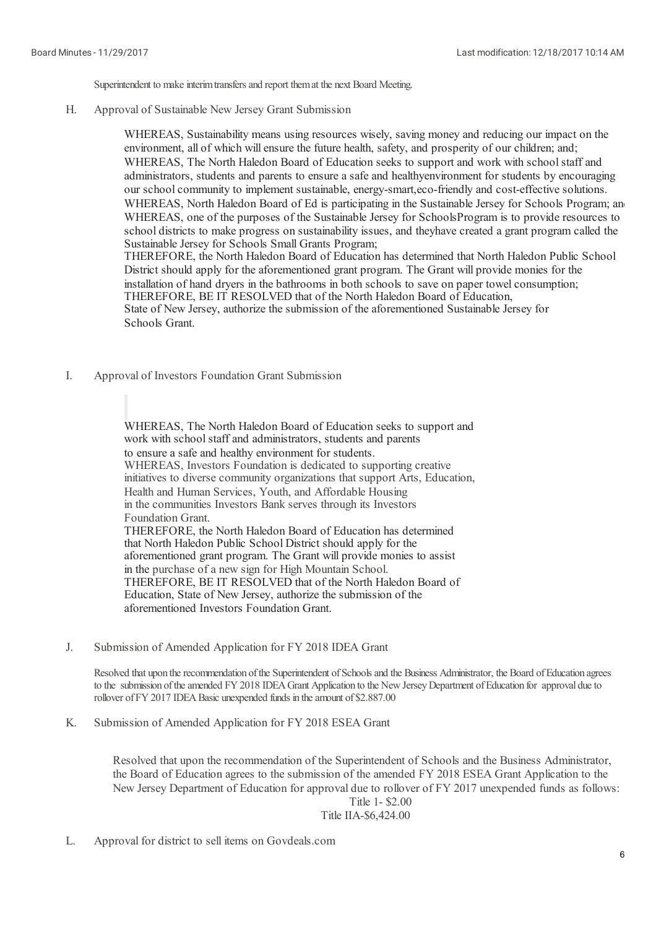Superintendent to make interim transfers and report them at the next Board Meeting.

H. Approval of Sustainable New Jersey Grant Submission

> WHEREAS, Sustainability means using resources wisely, saving money and reducing our impact on the environment, all of which willensure the future health, safety, and prosperity of our children; and; WHEREAS, The North Haledon Board of Education seeks to support and work with school staff and administrators, students and parents to ensure a safe and healthyenvironment for students by encouraging our schoolcommunity to implement sustainable, energy-smart,eco-friendly and cost-effective solutions. WHEREAS, North Haledon Board of Ed is participating in the Sustainable Jersey for Schools Program; and WHEREAS, one of the purposes of the Sustainable Jersey for SchoolsProgram is to provide resources to school districts to make progress on sustainability issues, and theyhave created a grant program called the Sustainable Jersey for Schools Small Grants Program;

THEREFORE, the North Haledon Board of Education has determined that North Haledon Public School District should apply for the aforementioned grant program. The Grant will provide monies for the installation of hand dryers in the bathrooms in both schools to save on paper towel consumption; THEREFORE, BE IT RESOLVED that of the North Haledon Board of Education, State of New Jersey, authorize the submission of the aforementioned Sustainable Jersey for Schools Grant.

I. Approval of Investors Foundation Grant Submission

> WHEREAS, The North Haledon Board of Education seeks to support and work with school staff and administrators, students and parents to ensure <sup>a</sup> safe and healthy environment for students. WHEREAS, Investors Foundation is dedicated to supporting creative initiatives to diverse community organizations that support Arts, Education, Health and Human Services, Youth, and Affordable Housing in the communities Investors Bank serves through its Investors Foundation Grant. THEREFORE, the North Haledon Board of Education has determined that North Haledon Public School District should apply for the aforementioned grant program. The Grant will provide monies to assist in the purchase of a new sign for High Mountain School. THEREFORE, BE IT RESOLVED that of the North Haledon Board of Education, State of New Jersey, authorize the submission of the aforementioned Investors Foundation Grant.

J. Submission of Amended Application for FY 2018 IDEA Grant

Resolved that upon the recommendation of the Superintendent of Schools and the Business Administrator, the Board of Education agrees to the submission of the amended FY 2018 IDEA Grant Application to the New Jersey Department of Education for approval due to rollover of FY 2017 IDEA Basic unexpended funds in the amount of \$2.887.00

K. Submission of Amended Application for FY 2018 ESEA Grant

> Resolved that upon the recommendation of the Superintendent of Schools and the Business Administrator, the Board of Education agrees to the submission of the amended FY 2018 ESEA Grant Application to the New Jersey Department of Education for approval due to rollover of FY 2017 unexpended funds as follows:

# Title 1- \$2.00

# Title IIA-\$6,424.00

L. Approval for district to sell items on Govdeals.com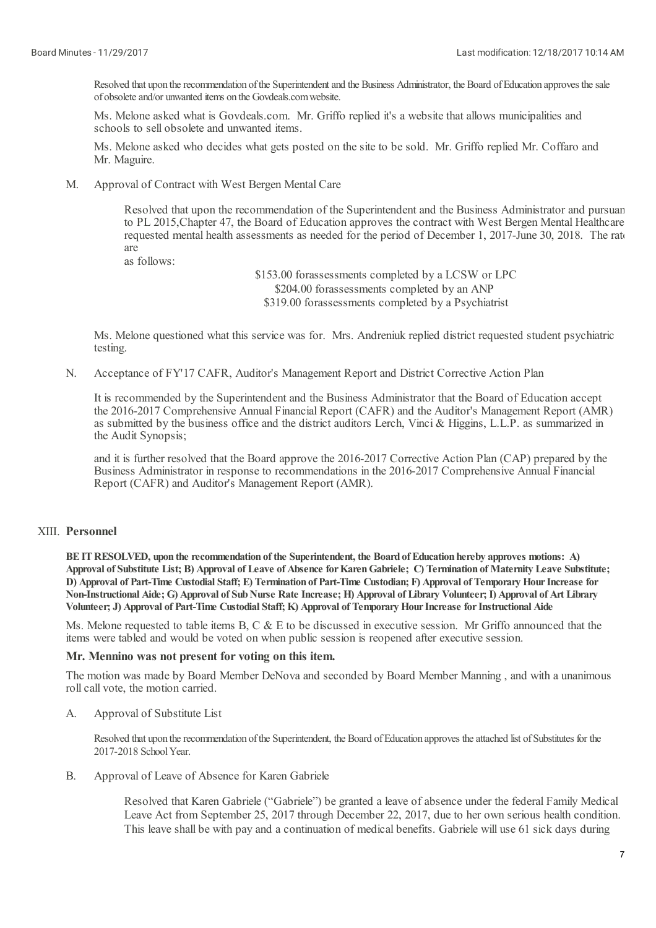Resolved that upon the recommendation of the Superintendent and the Business Administrator, the Board of Education approves the sale of obsolete and/or unwanted items on the Govdeals.com website.

Ms. Melone asked what is Govdeals.com. Mr. Griffo replied it's a website that allows municipalities and schools to sell obsolete and unwanted items.

Ms. Melone asked who decides what gets posted on the site to be sold. Mr. Griffo replied Mr. Coffaro and Mr. Maguire.

M. Approval of Contract with West Bergen Mental Care

> Resolved that upon the recommendation of the Superintendent and the Business Administrator and pursuant to PL 2015,Chapter 47, the Board of Education approves the contract with West Bergen Mental Healthcare requested mental health assessments as needed for the period of December 1, 2017-June 30, 2018. The rate are

as follows:

\$153.00 forassessments completed by a LCSW or LPC \$204.00 forassessments completed by an ANP \$319.00 forassessments completed by a Psychiatrist

Ms. Melone questioned what this service was for. Mrs. Andreniuk replied district requested student psychiatric testing.

N. Acceptance of FY'17 CAFR, Auditor's Management Report and District Corrective Action Plan

It is recommended by the Superintendent and the Business Administrator that the Board of Education accept the 2016-2017 Comprehensive Annual Financial Report (CAFR) and the Auditor's Management Report (AMR) as submitted by the business office and the district auditors Lerch, Vinci & Higgins, L.L.P. as summarized in the Audit Synopsis;

and it is further resolved that the Board approve the 2016-2017 Corrective Action Plan (CAP) prepared by the Business Administrator in response to recommendations in the 2016-2017 Comprehensive Annual Financial Report (CAFR) and Auditor's Management Report (AMR).

# XIII. **Personnel**

**BEITRESOLVED, upon the recommendation of the Superintendent, the Board of Education hereby approves motions: A)** Approval of Substitute List; B) Approval of Leave of Absence for Karen Gabriele; C) Termination of Maternity Leave Substitute; D) Approval of Part-Time Custodial Staff; E) Termination of Part-Time Custodian; F) Approval of Temporary Hour Increase for Non-Instructional Aide; G) Approval of Sub Nurse Rate Increase; H) Approval of Library Volunteer; I) Approval of Art Library **Volunteer; J) Approval of Part-Time Custodial Staff; K) Approval of Temporary HourIncrease forInstructional Aide**

Ms. Melone requested to table items B, C & E to be discussed in executive session. Mr Griffo announced that the items were tabled and would be voted on when public session is reopened after executive session.

## **Mr. Mennino was not present for voting on this item.**

The motion was made by Board Member DeNova and seconded by Board Member Manning , and with a unanimous roll call vote, the motion carried.

A. Approval of Substitute List

> Resolved that upon the recommendation of the Superintendent, the Board of Education approves the attached list of Substitutes for the 2017-2018 School Year.

B. Approval of Leave of Absence for Karen Gabriele

> Resolved that Karen Gabriele ("Gabriele") be granted a leave of absence under the federal Family Medical Leave Act from September 25, 2017 through December 22, 2017, due to her own serious health condition. This leave shall be with pay and a continuation of medical benefits. Gabriele will use 61 sick days during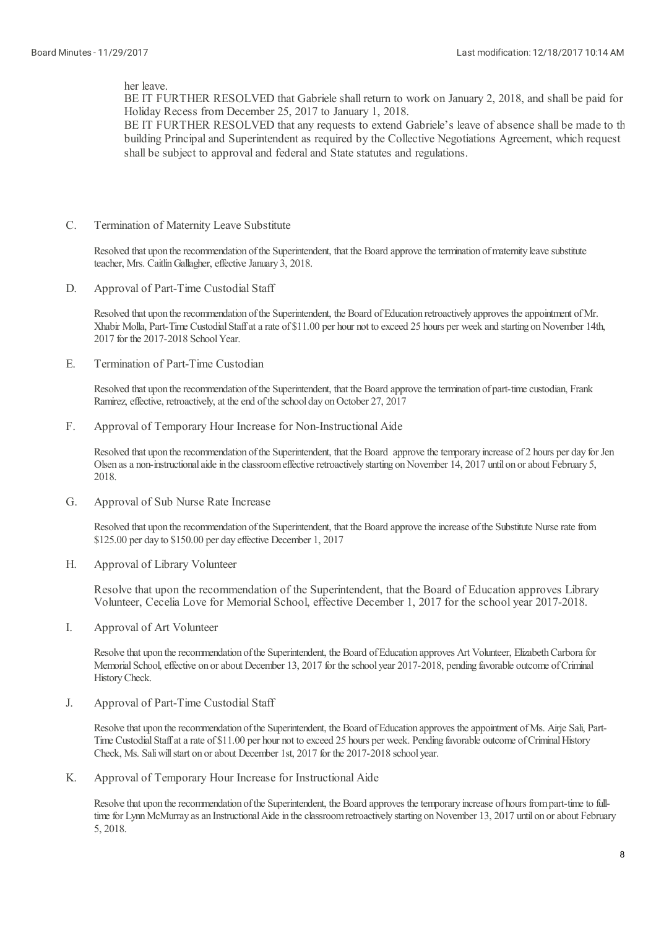her leave.

BE IT FURTHER RESOLVED that Gabriele shall return to work on January 2, 2018, and shall be paid for Holiday Recess from December 25, 2017 to January 1, 2018.

BE IT FURTHER RESOLVED that any requests to extend Gabriele's leave of absence shall be made to the building Principaland Superintendent as required by the Collective Negotiations Agreement, which request shall be subject to approval and federal and State statutes and regulations.

C. Termination of Maternity Leave Substitute

> Resolved that upon the recommendation of the Superintendent, that the Board approve the termination of maternity leave substitute teacher, Mrs. Caitlin Gallagher, effective January 3, 2018.

D. Approval of Part-Time Custodial Staff

> Resolved that upon the recommendation of the Superintendent, the Board of Education retroactively approves the appointment of Mr. Xhabir Molla, Part-Time Custodial Staffat a rate of \$11.00 per hour not to exceed 25 hours per week and starting on November 14th, 2017 for the 2017-2018 School Year.

E. Termination of Part-Time Custodian

> Resolved that upon the recommendation of the Superintendent, that the Board approve the termination of part-time custodian, Frank Ramirez, effective, retroactively, at the end of the school day on October 27, 2017

F. Approval of Temporary Hour Increase for Non-Instructional Aide

Resolved that upon the recommendation of the Superintendent, that the Board approve the temporary increase of 2 hours per day for Jen Olsen as a non-instructional aide in the classroom effective retroactively starting on November 14, 2017 until on or about February 5, 2018.

G. Approval of Sub Nurse Rate Increase

> Resolved that upon the recommendation of the Superintendent, that the Board approve the increase of the Substitute Nurse rate from \$125.00 per day to \$150.00 per day effective December 1, 2017

H. Approval of Library Volunteer

> Resolve that upon the recommendation of the Superintendent, that the Board of Education approves Library Volunteer, Cecelia Love for Memorial School, effective December 1, 2017 for the school year 2017-2018.

I. Approval of Art Volunteer

> Resolve that upon the recommendation of the Superintendent, the Board of Education approves Art Volunteer, Elizabeth Carbora for Memorial School, effective on or about December 13, 2017 for the school year 2017-2018, pending favorable outcome of Criminal HistoryCheck.

J. Approval of Part-Time Custodial Staff

> Resolve that upon the recommendation of the Superintendent, the Board of Education approves the appointment of Ms. Airje Sali, Part-Time Custodial Staff at a rate of \$11.00 per hour not to exceed 25 hours per week. Pending favorable outcome of Criminal History Check, Ms. Saliwillstart on orabout December 1st, 2017 for the 2017-2018 school year.

K. Approval of Temporary Hour Increase for Instructional Aide

Resolve that upon the recommendation of the Superintendent, the Board approves the temporary increase of hours from part-time to fulltime for Lynn McMurray as an Instructional Aide in the classroom retroactively starting on November 13, 2017 until on or about February 5, 2018.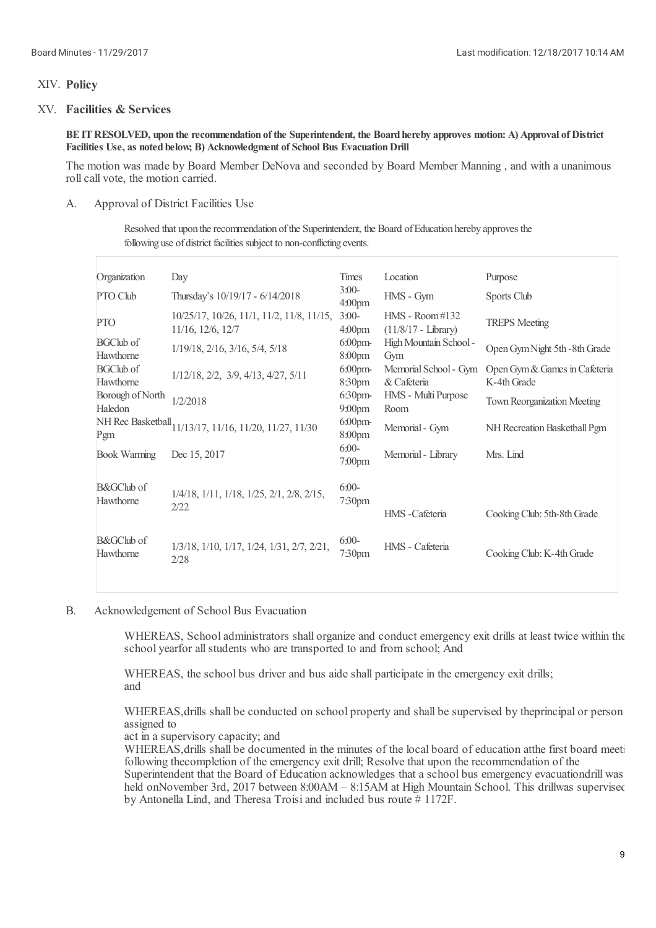# XIV. **Policy**

# XV. **Facilities & Services**

BE IT RESOLVED, upon the recommendation of the Superintendent, the Board hereby approves motion: A) Approval of District **Facilities Use, as noted below; B) Acknowledgment of School Bus EvacuationDrill**

The motion was made by Board Member DeNova and seconded by Board Member Manning , and with a unanimous roll call vote, the motion carried.

### A. Approval of District Facilities Use

Resolved that upon the recommendation of the Superintendent, the Board of Education hereby approves the following use of district facilities subject to non-conflicting events.

| Organization                       | Day                                                                              | Times                            | Location                                  | Purpose                                      |
|------------------------------------|----------------------------------------------------------------------------------|----------------------------------|-------------------------------------------|----------------------------------------------|
| PTO Club                           | Thursday's 10/19/17 - 6/14/2018                                                  | $3:00-$<br>4:00 <sub>pm</sub>    | HMS - Gym                                 | Sports Club                                  |
| <b>PTO</b>                         | $10/25/17$ , $10/26$ , $11/1$ , $11/2$ , $11/8$ , $11/15$ ,<br>11/16, 12/6, 12/7 | $3:00-$<br>4:00 <sub>pm</sub>    | $HMS - Room#132$<br>$(11/8/17 - Library)$ | <b>TREPS</b> Meeting                         |
| <b>BGClub</b> of<br>Hawthorne      | $1/19/18$ , $2/16$ , $3/16$ , $5/4$ , $5/18$                                     | $6.00$ pm-<br>8:00 <sub>pm</sub> | High Mountain School -<br>Gym             | Open Gym Night 5th -8th Grade                |
| <b>BGClub</b> of<br>Hawthorne      | $1/12/18$ , $2/2$ , $3/9$ , $4/13$ , $4/27$ , $5/11$                             | $6:00$ pm-<br>8:30pm             | Memorial School - Gym<br>& Cafeteria      | Open Gym & Games in Cafeteria<br>K-4th Grade |
| Borough of North<br>Haledon        | 1/2/2018                                                                         | $6:30$ pm-<br>$9:00$ pm          | HMS - Multi Purpose<br>Room               | <b>Town Reorganization Meeting</b>           |
| Pgm                                | NH Rec Basketball 11/13/17, 11/16, 11/20, 11/27, 11/30                           | $6:00$ pm-<br>8:00pm             | Memorial - Gym                            | NH Recreation Basketball Pgm                 |
| <b>Book Warming</b>                | Dec 15, 2017                                                                     | $6:00-$<br>7:00 <sub>pm</sub>    | Memorial - Library                        | Mrs. Lind                                    |
| <b>B&amp;GClub</b> of<br>Hawthorne | 1/4/18, 1/11, 1/18, 1/25, 2/1, 2/8, 2/15,<br>2/22                                | $6:00-$<br>7:30pm                | HMS-Cafeteria                             | Cooking Club: 5th-8th Grade                  |
| <b>B&amp;GClub</b> of<br>Hawthorne | 1/3/18, 1/10, 1/17, 1/24, 1/31, 2/7, 2/21,<br>2/28                               | $6:00-$<br>7:30 <sub>pm</sub>    | HMS - Cafeteria                           | Cooking Club: K-4th Grade                    |
|                                    |                                                                                  |                                  |                                           |                                              |

B. Acknowledgement of School Bus Evacuation

> WHEREAS, School administrators shall organize and conduct emergency exit drills at least twice within the school yearfor all students who are transported to and from school; And

WHEREAS, the school bus driver and bus aide shall participate in the emergency exit drills; and

WHEREAS,drills shall be conducted on school property and shall be supervised by theprincipal or person assigned to

act in a supervisory capacity; and

WHEREAS, drills shall be documented in the minutes of the local board of education atthe first board meeting following thecompletion of the emergency exit drill; Resolve that upon the recommendation of the Superintendent that the Board of Education acknowledges that a school bus emergency evacuationdrill was held onNovember 3rd, 2017 between 8:00AM – 8:15AM at High Mountain School. This drillwas supervised by Antonella Lind, and Theresa Troisiand included bus route # 1172F.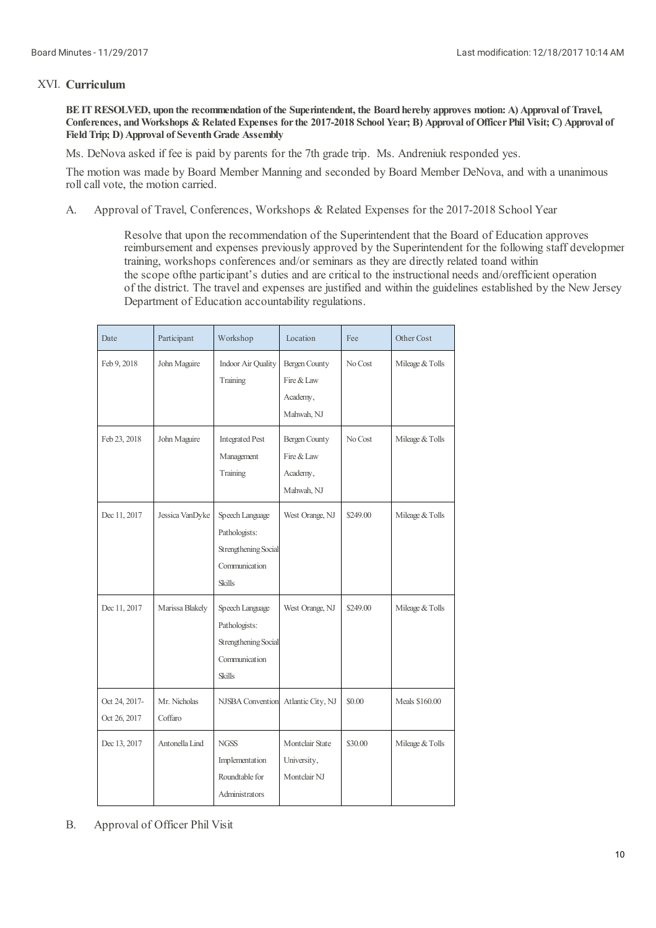# XVI. **Curriculum**

BE IT RESOLVED, upon the recommendation of the Superintendent, the Board hereby approves motion: A) Approval of Travel, Conferences, and Workshops & Related Expenses for the 2017-2018 School Year; B) Approval of Officer Phil Visit; C) Approval of **FieldTrip; D) Approval of SeventhGrade Assembly**

Ms. DeNova asked if fee is paid by parents for the 7th grade trip. Ms. Andreniuk responded yes.

The motion was made by Board Member Manning and seconded by Board Member DeNova, and with a unanimous roll call vote, the motion carried.

A. Approval of Travel, Conferences, Workshops & Related Expenses for the 2017-2018 School Year

> Resolve that upon the recommendation of the Superintendent that the Board of Education approves reimbursement and expenses previously approved by the Superintendent for the following staff development training, workshops conferences and/or seminars as they are directly related toand within the scope ofthe participant's duties and are critical to the instructional needs and/orefficient operation of the district. The traveland expenses are justified and within the guidelines established by the New Jersey Department of Education accountability regulations.

| Date                          | Participant             | Workshop                                                                                   | Location                                                     | Fee      | Other Cost      |
|-------------------------------|-------------------------|--------------------------------------------------------------------------------------------|--------------------------------------------------------------|----------|-----------------|
| Feb 9, 2018                   | John Maguire            | <b>Indoor Air Quality</b><br>Training                                                      | <b>Bergen County</b><br>Fire & Law<br>Academy,<br>Mahwah, NJ | No Cost  | Mileage & Tolls |
| Feb 23, 2018                  | John Maguire            | <b>Integrated Pest</b><br>Management<br>Training                                           | <b>Bergen County</b><br>Fire & Law<br>Academy,<br>Mahwah, NJ | No Cost  | Mileage & Tolls |
| Dec 11, 2017                  | Jessica VanDyke         | Speech Language<br>Pathologists:<br>Strengthening Social<br>Communication<br><b>Skills</b> | West Orange, NJ                                              | \$249.00 | Mileage & Tolls |
| Dec 11, 2017                  | Marissa Blakely         | Speech Language<br>Pathologists:<br>Strengthening Social<br>Communication<br><b>Skills</b> | West Orange, NJ                                              | \$249.00 | Mileage & Tolls |
| Oct 24, 2017-<br>Oct 26, 2017 | Mr. Nicholas<br>Coffaro | <b>NJSBA</b> Convention                                                                    | Atlantic City, NJ                                            | \$0.00   | Meals \$160.00  |
| Dec 13, 2017                  | Antonella Lind          | <b>NGSS</b><br>Implementation<br>Roundtable for<br>Administrators                          | Montclair State<br>University,<br>Montclair NJ               | \$30.00  | Mileage & Tolls |

B. Approval of Officer Phil Visit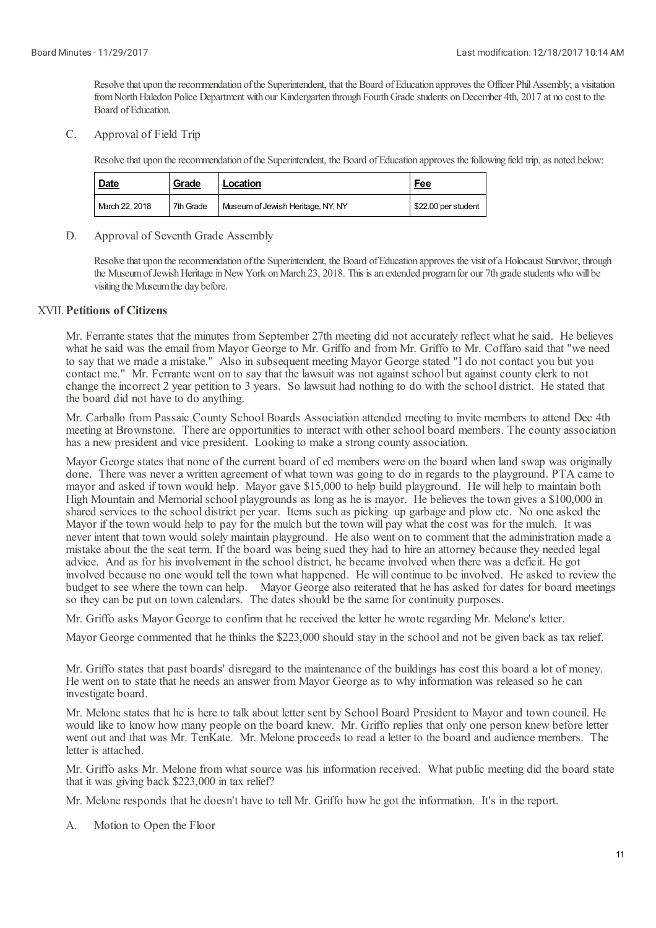Resolve that upon the recommendation of the Superintendent, that the Board of Education approves the Officer Phil Assembly; a visitation from North Haledon Police Department with our Kindergarten through Fourth Grade students on December 4th, 2017 at no cost to the Board of Education.

C. Approval of Field Trip

Resolve that upon the recommendation of the Superintendent, the Board of Education approves the following field trip, as noted below:

| <b>Date</b>    | Grade     | Location                          | <u>Fee</u>          |
|----------------|-----------|-----------------------------------|---------------------|
| March 22, 2018 | 7th Grade | Museum of Jewish Heritage, NY, NY | \$22.00 per student |

#### D. Approval of Seventh Grade Assembly

Resolve that upon the recommendation of the Superintendent, the Board of Education approves the visit of a Holocaust Survivor, through the Museum of Jewish Heritage in New York on March 23, 2018. This is an extended program for our 7th grade students who will be visiting the Museumthe day before.

# XVII. **Petitions of Citizens**

Mr. Ferrante states that the minutes from September 27th meeting did not accurately reflect what he said. He believes what he said was the email from Mayor George to Mr. Griffo and from Mr. Griffo to Mr. Coffaro said that "we need to say that we made a mistake." Also in subsequent meeting Mayor George stated "I do not contact you but you contact me." Mr. Ferrante went on to say that the lawsuit was not against school but against county clerk to not change the incorrect 2 year petition to 3 years. So lawsuit had nothing to do with the school district. He stated that the board did not have to do anything.

Mr. Carballo from Passaic County School Boards Association attended meeting to invite members to attend Dec 4th meeting at Brownstone. There are opportunities to interact with other school board members. The county association has a new president and vice president. Looking to make a strong county association.

Mayor George states that none of the current board of ed members were on the board when land swap was originally done. There was never a written agreement of what town was going to do in regards to the playground. PTA came to mayor and asked if town would help. Mayor gave \$15,000 to help build playground. He will help to maintain both High Mountain and Memorial school playgrounds as long as he is mayor. He believes the town gives a \$100,000 in shared services to the school district per year. Items such as picking up garbage and plow etc. No one asked the Mayor if the town would help to pay for the mulch but the town will pay what the cost was for the mulch. It was never intent that town would solely maintain playground. He also went on to comment that the administration made a mistake about the the seat term. If the board was being sued they had to hire an attorney because they needed legal advice. And as for his involvement in the school district, he became involved when there was a deficit. He got involved because no one would tell the town what happened. He will continue to be involved. He asked to review the budget to see where the town can help. Mayor George also reiterated that he has asked for dates for board meetings so they can be put on town calendars. The dates should be the same for continuity purposes.

Mr. Griffo asks Mayor George to confirm that he received the letter he wrote regarding Mr. Melone's letter.

Mayor George commented that he thinks the \$223,000 should stay in the schooland not be given back as tax relief.

Mr. Griffo states that past boards' disregard to the maintenance of the buildings has cost this board a lot of money. He went on to state that he needs an answer from Mayor George as to why information was released so he can investigate board.

Mr. Melone states that he is here to talk about letter sent by School Board President to Mayor and town council. He would like to know how many people on the board knew. Mr. Griffo replies that only one person knew before letter went out and that was Mr. TenKate. Mr. Melone proceeds to read a letter to the board and audience members. The letter is attached.

Mr. Griffo asks Mr. Melone from what source was his information received. What public meeting did the board state that it was giving back \$223,000 in tax relief?

Mr. Melone responds that he doesn't have to tell Mr. Griffo how he got the information. It's in the report.

A. Motion to Open the Floor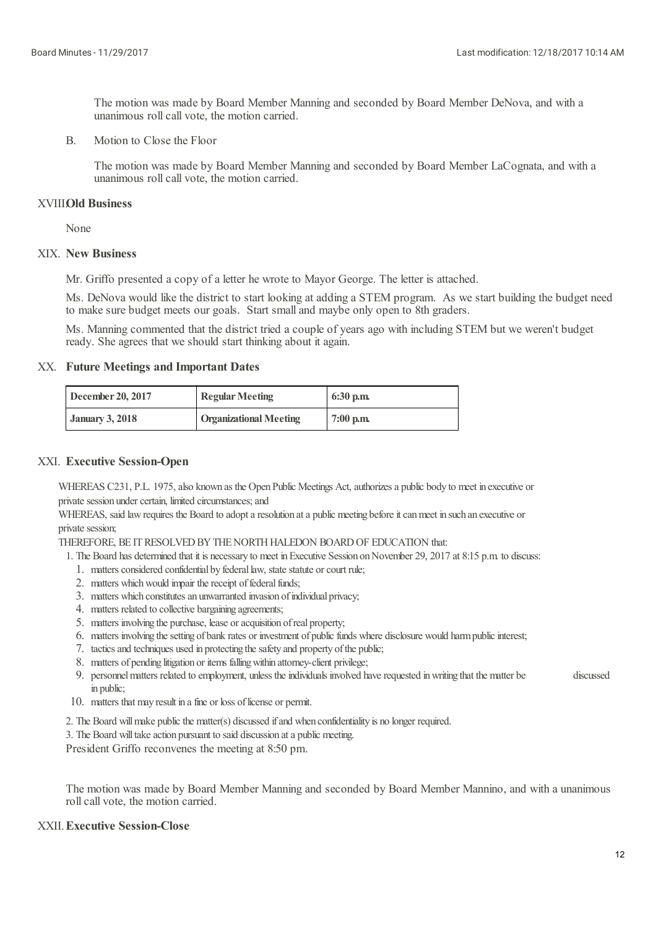The motion was made by Board Member Manning and seconded by Board Member DeNova, and with a unanimous roll call vote, the motion carried.

B. Motion to Close the Floor

> The motion was made by Board Member Manning and seconded by Board Member LaCognata, and with a unanimous roll call vote, the motion carried.

# XVIII. **Old Business**

None

# XIX. **New Business**

Mr. Griffo presented a copy of a letter he wrote to Mayor George. The letter is attached.

Ms. DeNova would like the district to start looking at adding a STEM program. As we start building the budget need to make sure budget meets our goals. Start smalland maybe only open to 8th graders.

Ms. Manning commented that the district tried a couple of years ago with including STEM but we weren't budget ready. She agrees that we should start thinking about it again.

# XX. **Future Meetings and Important Dates**

| December 20, 2017      | <b>Regular Meeting</b>        | $6:30$ p.m. |
|------------------------|-------------------------------|-------------|
| <b>January 3, 2018</b> | <b>Organizational Meeting</b> | $7:00$ p.m. |

# XXI. **Executive Session-Open**

WHEREAS C231, P.L. 1975, also known as the Open Public Meetings Act, authorizes a public body to meet in executive or private session under certain, limited circumstances; and

WHEREAS, said law requires the Board to adopt a resolution at a public meeting before it can meet in such an executive or private session;

THEREFORE, BE IT RESOLVED BY THE NORTH HALEDON BOARD OF EDUCATION that:

- 1. The Board has determined that it is necessary to meet in Executive Session on November 29, 2017 at 8:15 p.m. to discuss:
	- 1. matters considered confidential by federal law, state statute or court rule;
	- 2. matters which would impair the receipt of federal funds;
	- 3. matters which constitutes an unwarranted invasion of individual privacy;
	- 4. matters related to collective bargaining agreements;
	- 5. matters involving the purchase, lease oracquisition ofreal property;
	- 6. matters involving the setting of bank rates or investment of public funds where disclosure would harm public interest;
	- 7. tactics and techniques used in protecting the safety and property of the public;
	- 8. matters of pending litigation or items falling within attorney-client privilege;
	- 9. personnel matters related to employment, unless the individuals involved have requested in writing that the matter be discussed in public;
- 10. matters that may result in a fine or loss of license or permit.
- 2. The Board will make public the matter(s) discussed if and when confidentiality is no longer required.
- 3. The Board will take action pursuant to said discussion at a public meeting.

President Griffo reconvenes the meeting at 8:50 pm.

The motion was made by Board Member Manning and seconded by Board Member Mannino, and with a unanimous roll call vote, the motion carried.

## XXII.**Executive Session-Close**